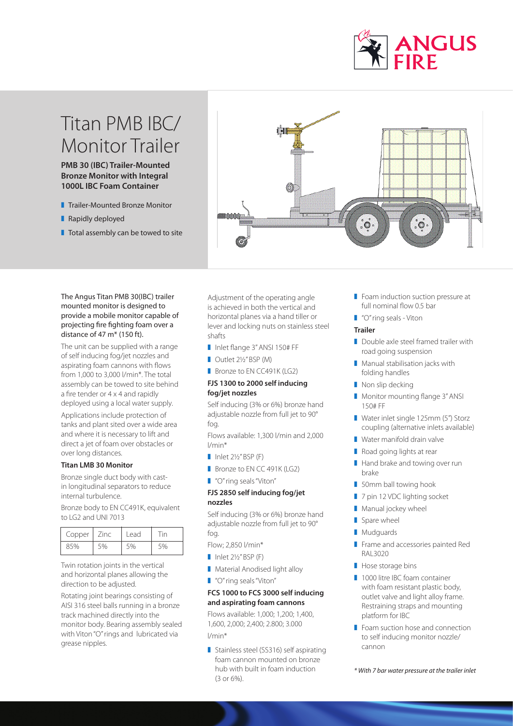

# Titan PMB IBC/ Monitor Trailer

**PMB 30 (IBC) Trailer-Mounted Bronze Monitor with Integral 1000L IBC Foam Container** 

- **Trailer-Mounted Bronze Monitor**
- **Rapidly deployed**
- $\blacksquare$  Total assembly can be towed to site



### The Angus Titan PMB 30(IBC) trailer mounted monitor is designed to provide a mobile monitor capable of projecting fire fighting foam over a distance of 47  $m^*$  (150 ft).

The unit can be supplied with a range of self inducing fog/jet nozzles and aspirating foam cannons with flows from 1,000 to 3,000 l/min\*. The total assembly can be towed to site behind a fire tender or 4 x 4 and rapidly deployed using a local water supply. Applications include protection of tanks and plant sited over a wide area and where it is necessary to lift and

direct a jet of foam over obstacles or over long distances.

## **Titan LMB 30 Monitor**

Bronze single duct body with castin longitudinal separators to reduce internal turbulence.

Bronze body to EN CC491K, equivalent to LG2 and UNI 7013

| Copper | Zinc | Lead | in |
|--------|------|------|----|
| 85%    | 5%   |      | 5% |

Twin rotation joints in the vertical and horizontal planes allowing the direction to be adjusted.

Rotating joint bearings consisting of AISI 316 steel balls running in a bronze track machined directly into the monitor body. Bearing assembly sealed with Viton "O" rings and lubricated via grease nipples.

Adjustment of the operating angle is achieved in both the vertical and horizontal planes via a hand tiller or lever and locking nuts on stainless steel shafts

- Inlet flange 3" ANSI 150# FF
- Outlet 2½" BSP (M)
- Bronze to EN CC491K (LG2)

## **FJS 1300 to 2000 self inducing fog/jet nozzles**

Self inducing (3% or 6%) bronze hand adjustable nozzle from full jet to 90° fog.

Flows available: 1,300 l/min and 2,000 l/min\*

- $\blacksquare$  Inlet 2½" BSP (F)
- Bronze to EN CC 491K (LG2)
- "O" ring seals "Viton"

# **FJS 2850 self inducing fog/jet nozzles**

Self inducing (3% or 6%) bronze hand adjustable nozzle from full jet to 90° fog.

Flow; 2,850 l/min\*

- $\blacksquare$  Inlet 2½" BSP (F)
- **Material Anodised light alloy**
- "O" ring seals "Viton"

### **FCS 1000 to FCS 3000 self inducing and aspirating foam cannons**

Flows available: 1,000; 1,200; 1,400, 1,600, 2,000; 2,400; 2.800; 3.000 l/min\*

Stainless steel (SS316) self aspirating foam cannon mounted on bronze hub with built in foam induction (3 or 6%).

- $\blacksquare$  Foam induction suction pressure at full nominal flow 0.5 bar
- "O" ring seals Viton

### **Trailer**

- Double axle steel framed trailer with road going suspension
- $\blacksquare$  Manual stabilisation jacks with folding handles
- $\blacksquare$  Non slip decking
- Monitor mounting flange 3" ANSI 150# FF
- Water inlet single 125mm (5") Storz coupling (alternative inlets available)
- $\blacksquare$  Water manifold drain valve
- Road going lights at rear
- $\blacksquare$  Hand brake and towing over run brake
- **B** 50mm ball towing hook
- 7 pin 12 VDC lighting socket
- $\blacksquare$  Manual jockey wheel
- $\blacksquare$  Spare wheel
- Mudguards
- Frame and accessories painted Red RAL3020
- $\blacksquare$  Hose storage bins
- 1000 litre IBC foam container with foam resistant plastic body, outlet valve and light alloy frame. Restraining straps and mounting platform for IBC
- $\blacksquare$  Foam suction hose and connection to self inducing monitor nozzle/ cannon

*\* With 7 bar water pressure at the trailer inlet*